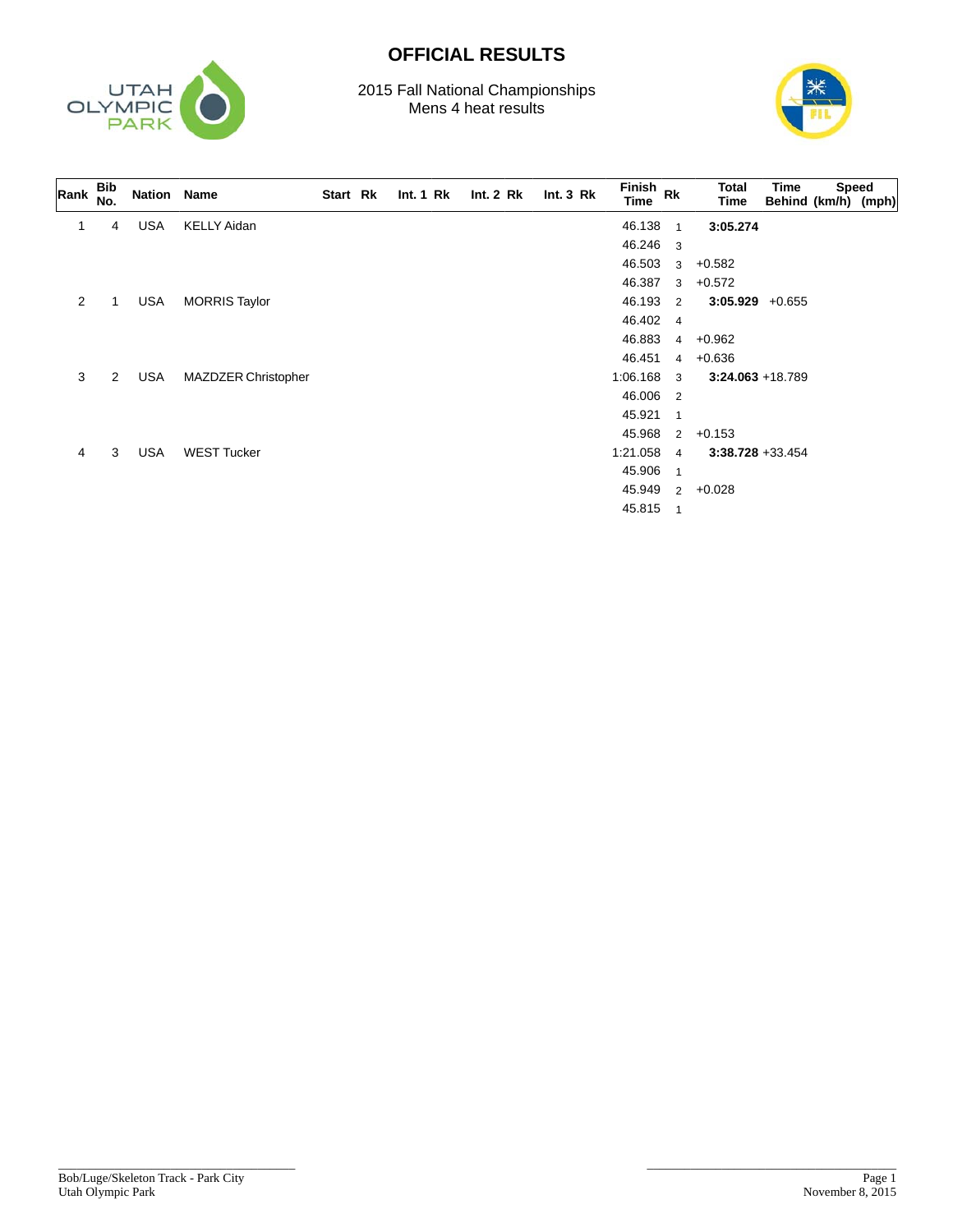

## **OFFICIAL RESULTS**

2015 Fall National Championships Mens 4 heat results



| Rank | <b>Bib</b><br>No. | Nation Name |                      | Start Rk | Int.1 Rk | Int.2 Rk | Int.3 Rk | Finish Rk<br>Time |                | Total<br>Time       | Time<br>Behind (km/h) (mph) | <b>Speed</b> |  |
|------|-------------------|-------------|----------------------|----------|----------|----------|----------|-------------------|----------------|---------------------|-----------------------------|--------------|--|
|      | 4                 | <b>USA</b>  | <b>KELLY Aidan</b>   |          |          |          |          | 46.138            | $\mathbf{1}$   | 3:05.274            |                             |              |  |
|      |                   |             |                      |          |          |          |          | 46.246            | 3              |                     |                             |              |  |
|      |                   |             |                      |          |          |          |          | 46.503            | 3              | $+0.582$            |                             |              |  |
|      |                   |             |                      |          |          |          |          | 46.387            | 3              | $+0.572$            |                             |              |  |
| 2    |                   | <b>USA</b>  | <b>MORRIS Taylor</b> |          |          |          |          | 46.193            | 2              | $3:05.929 +0.655$   |                             |              |  |
|      |                   |             |                      |          |          |          |          | 46.402            | $\overline{4}$ |                     |                             |              |  |
|      |                   |             |                      |          |          |          |          | 46.883            | $\overline{4}$ | +0.962              |                             |              |  |
|      |                   |             |                      |          |          |          |          | 46.451            |                | $4 + 0.636$         |                             |              |  |
| 3    | $\overline{2}$    | <b>USA</b>  | MAZDZER Christopher  |          |          |          |          | 1:06.168          | 3              | $3:24.063 + 18.789$ |                             |              |  |
|      |                   |             |                      |          |          |          |          | 46.006            | $\overline{2}$ |                     |                             |              |  |
|      |                   |             |                      |          |          |          |          | 45.921            | $\overline{1}$ |                     |                             |              |  |
|      |                   |             |                      |          |          |          |          | 45.968            | 2              | $+0.153$            |                             |              |  |
| 4    | 3                 | <b>USA</b>  | <b>WEST Tucker</b>   |          |          |          |          | 1:21.058          | $\overline{4}$ | $3:38.728 + 33.454$ |                             |              |  |
|      |                   |             |                      |          |          |          |          | 45.906            | $\overline{1}$ |                     |                             |              |  |
|      |                   |             |                      |          |          |          |          | 45.949            | $\overline{2}$ | $+0.028$            |                             |              |  |
|      |                   |             |                      |          |          |          |          | 45.815            | $\overline{1}$ |                     |                             |              |  |

\_\_\_\_\_\_\_\_\_\_\_\_\_\_\_\_\_\_\_\_\_\_\_\_\_\_\_\_\_\_\_\_\_\_\_\_\_\_

\_\_\_\_\_\_\_\_\_\_\_\_\_\_\_\_\_\_\_\_\_\_\_\_\_\_\_\_\_\_\_\_\_\_\_\_\_\_\_\_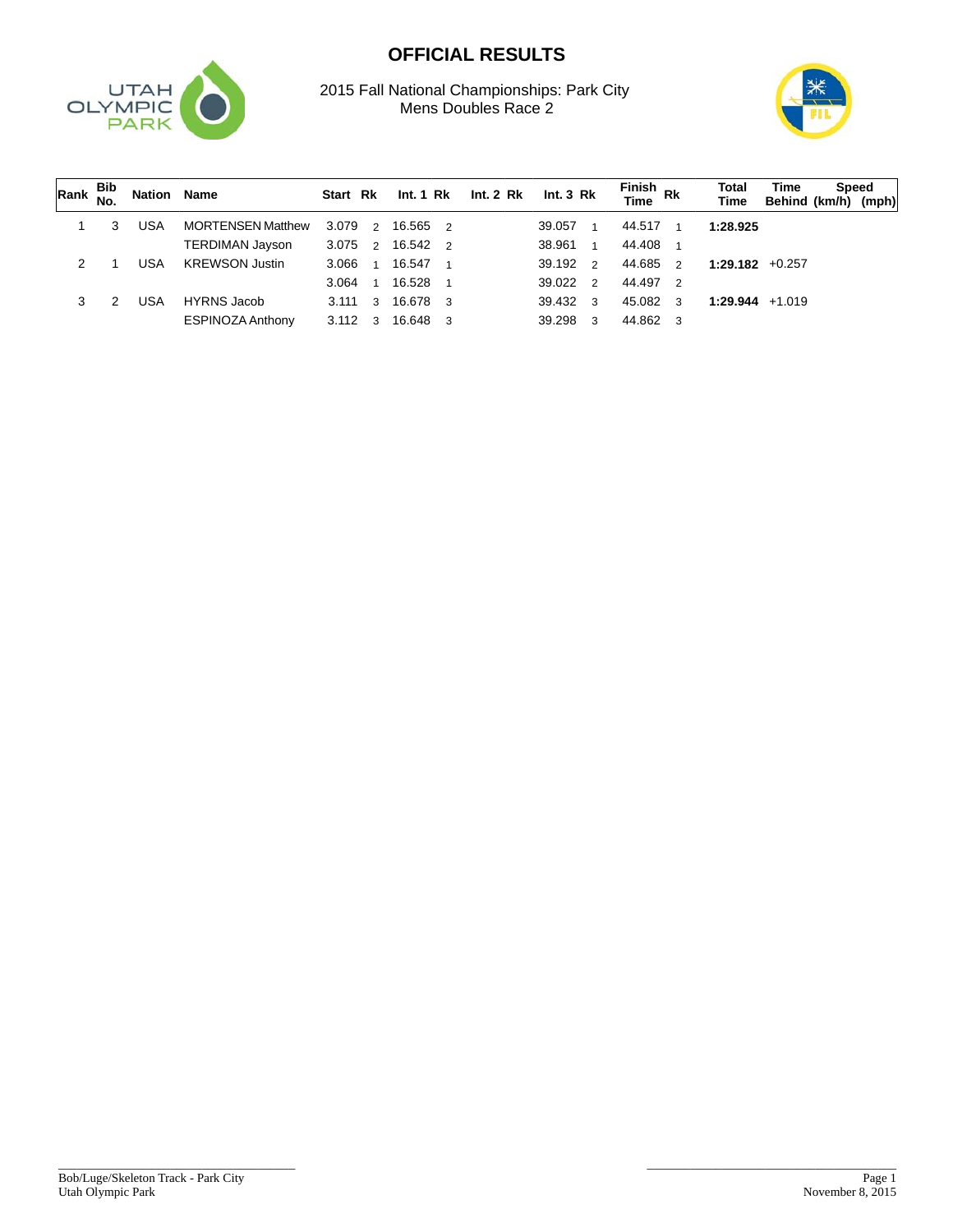## **OFFICIAL RESULTS**



2015 Fall National Championships: Park City Mens Doubles Race 2



| Rank $\frac{D}{NQ}$ | Bib | <b>Nation Name</b> |                          | Start Rk |                |                  |  | Int. 1 Rk Int. 2 Rk Int. 3 Rk |                         | Finish<br>Time Rk      | Total<br>Time      | Time<br>Behind (km/h) (mph) | Speed |  |
|---------------------|-----|--------------------|--------------------------|----------|----------------|------------------|--|-------------------------------|-------------------------|------------------------|--------------------|-----------------------------|-------|--|
|                     |     | USA                | <b>MORTENSEN Matthew</b> | 3.079    |                | 2 16.565 2       |  | 39.057                        | $\overline{1}$          | 44.517<br>$\mathbf{1}$ | 1:28.925           |                             |       |  |
|                     |     |                    | <b>TERDIMAN Jayson</b>   | 3.075    |                | 2 16.542 2       |  | 38.961                        | $\overline{1}$          | 44.408                 |                    |                             |       |  |
|                     |     | USA                | <b>KREWSON Justin</b>    | 3.066    | $\overline{1}$ | 16.547 1         |  | 39.192 2                      |                         | 44.685<br>2            | $1:29.182 + 0.257$ |                             |       |  |
|                     |     |                    |                          | 3.064    | $\overline{1}$ | 16.528 1         |  | 39.022 2                      |                         | 44.497 2               |                    |                             |       |  |
|                     | 2   | USA                | <b>HYRNS Jacob</b>       |          |                | 3.111 3 16.678 3 |  | 39.432 3                      |                         | 45.082<br>3            | $1:29.944$ +1.019  |                             |       |  |
|                     |     |                    | <b>ESPINOZA Anthony</b>  | 3.112    | $\mathbf{3}$   | 16.648 3         |  | 39.298                        | $\overline{\mathbf{3}}$ | 44.862<br>3            |                    |                             |       |  |

\_\_\_\_\_\_\_\_\_\_\_\_\_\_\_\_\_\_\_\_\_\_\_\_\_\_\_\_\_\_\_\_\_\_\_\_\_\_

\_\_\_\_\_\_\_\_\_\_\_\_\_\_\_\_\_\_\_\_\_\_\_\_\_\_\_\_\_\_\_\_\_\_\_\_\_\_\_\_